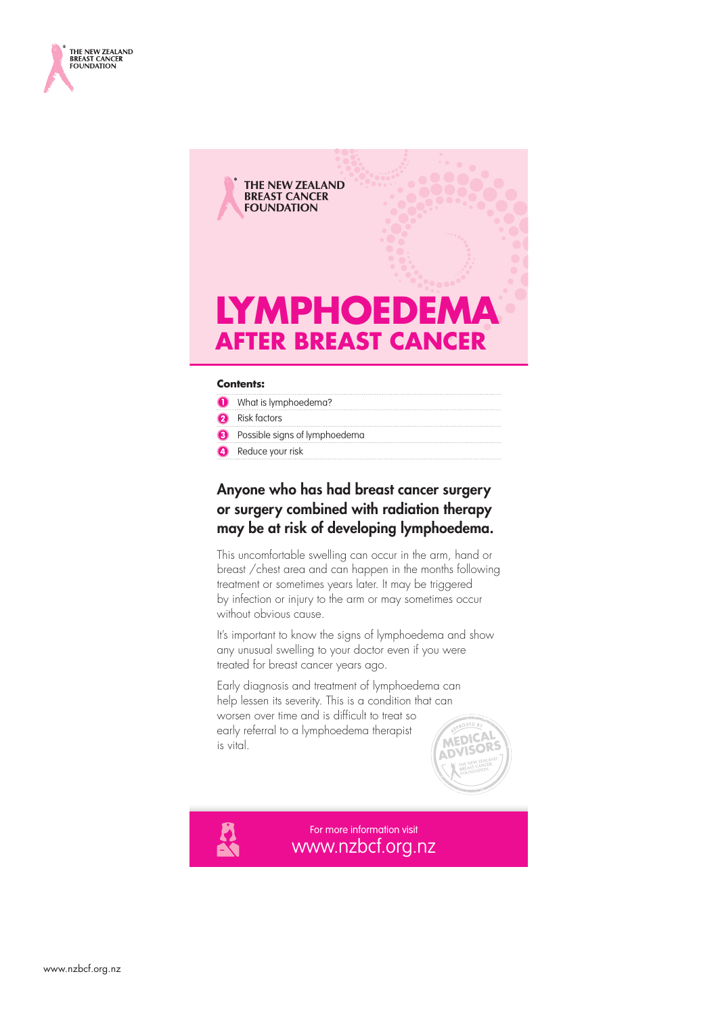



#### **Contents:**

- **O** What is lymphoedema?
- **2** Risk factors
- **8** Possible signs of lymphoedema
- **A** Reduce your risk

## Anyone who has had breast cancer surgery or surgery combined with radiation therapy may be at risk of developing lymphoedema.

This uncomfortable swelling can occur in the arm, hand or breast /chest area and can happen in the months following treatment or sometimes years later. It may be triggered by infection or injury to the arm or may sometimes occur without obvious cause.

It's important to know the signs of lymphoedema and show any unusual swelling to your doctor even if you were treated for breast cancer years ago.

Early diagnosis and treatment of lymphoedema can help lessen its severity. This is a condition that can worsen over time and is difficult to treat so early referral to a lymphoedema therapist is vital.



www.nzbcf.org.nz For more information visit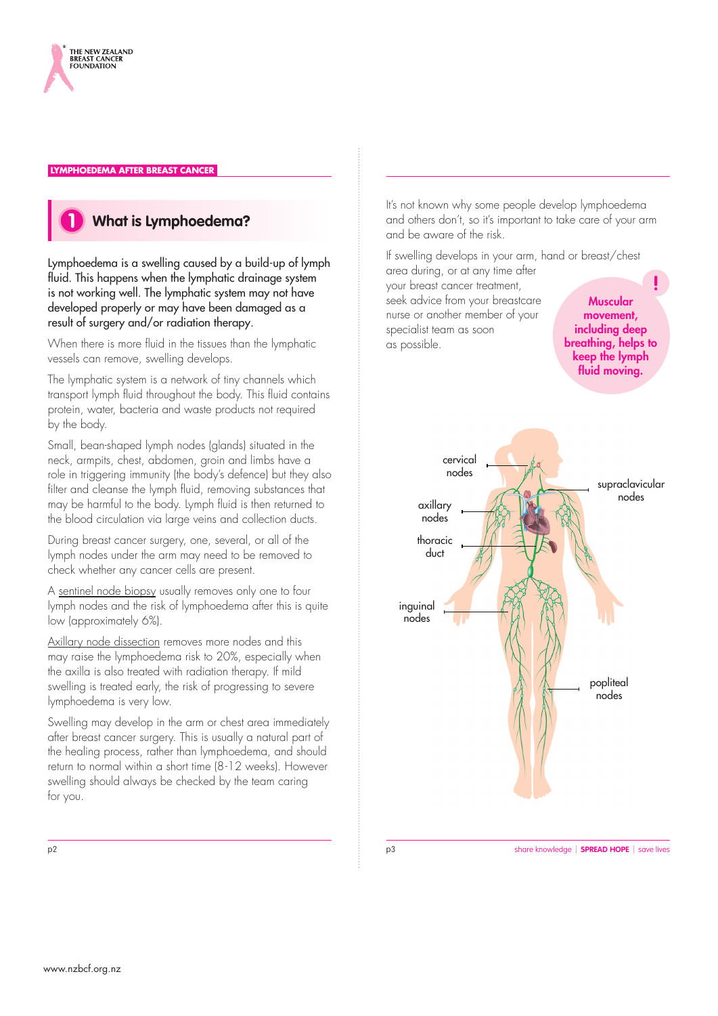



Lymphoedema is a swelling caused by a build-up of lymph fluid. This happens when the lymphatic drainage system is not working well. The lymphatic system may not have developed properly or may have been damaged as a result of surgery and/or radiation therapy.

When there is more fluid in the tissues than the lymphatic vessels can remove, swelling develops.

The lymphatic system is a network of tiny channels which transport lymph fluid throughout the body. This fluid contains protein, water, bacteria and waste products not required by the body.

Small, bean-shaped lymph nodes (glands) situated in the neck, armpits, chest, abdomen, groin and limbs have a role in triggering immunity (the body's defence) but they also filter and cleanse the lymph fluid, removing substances that may be harmful to the body. Lymph fluid is then returned to the blood circulation via large veins and collection ducts.

During breast cancer surgery, one, several, or all of the lymph nodes under the arm may need to be removed to check whether any cancer cells are present.

A sentinel node biopsy usually removes only one to four lymph nodes and the risk of lymphoedema after this is quite low (approximately 6%).

Axillary node dissection removes more nodes and this may raise the lymphoedema risk to 20%, especially when the axilla is also treated with radiation therapy. If mild swelling is treated early, the risk of progressing to severe lymphoedema is very low.

Swelling may develop in the arm or chest area immediately after breast cancer surgery. This is usually a natural part of the healing process, rather than lymphoedema, and should return to normal within a short time (8-12 weeks). However swelling should always be checked by the team caring for you.

It's not known why some people develop lymphoedema and others don't, so it's important to take care of your arm and be aware of the risk.

If swelling develops in your arm, hand or breast/chest area during, or at any time after

your breast cancer treatment, seek advice from your breastcare nurse or another member of your specialist team as soon as possible.

Muscular movement, including deep breathing, helps to keep the lymph fluid moving.



p3

p2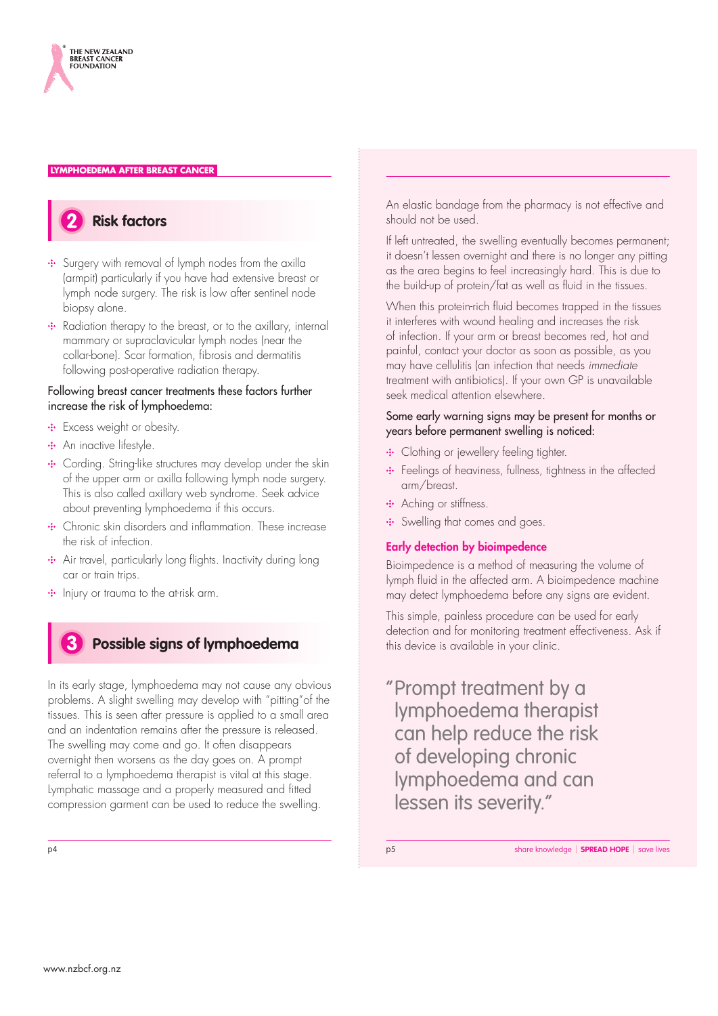



- Surgery with removal of lymph nodes from the axilla (armpit) particularly if you have had extensive breast or lymph node surgery. The risk is low after sentinel node biopsy alone.
- •• Radiation therapy to the breast, or to the axillary, internal mammary or supraclavicular lymph nodes (near the collar-bone). Scar formation, fibrosis and dermatitis following post-operative radiation therapy.

#### Following breast cancer treatments these factors further increase the risk of lymphoedema:

- **:** Excess weight or obesity.
- **:** An inactive lifestyle.
- Cording. String-like structures may develop under the skin of the upper arm or axilla following lymph node surgery. This is also called axillary web syndrome. Seek advice about preventing lymphoedema if this occurs.
- Chronic skin disorders and inflammation. These increase the risk of infection.
- Air travel, particularly long flights. Inactivity during long car or train trips.
- $\cdot$  Injury or trauma to the at-risk arm.

## **Possible signs of lymphoedema**

In its early stage, lymphoedema may not cause any obvious problems. A slight swelling may develop with "pitting"of the tissues. This is seen after pressure is applied to a small area and an indentation remains after the pressure is released. The swelling may come and go. It often disappears overnight then worsens as the day goes on. A prompt referral to a lymphoedema therapist is vital at this stage. Lymphatic massage and a properly measured and fitted compression garment can be used to reduce the swelling.

An elastic bandage from the pharmacy is not effective and should not be used.

If left untreated, the swelling eventually becomes permanent; it doesn't lessen overnight and there is no longer any pitting as the area begins to feel increasingly hard. This is due to the build-up of protein/fat as well as fluid in the tissues.

When this protein-rich fluid becomes trapped in the tissues it interferes with wound healing and increases the risk of infection. If your arm or breast becomes red, hot and painful, contact your doctor as soon as possible, as you may have cellulitis (an infection that needs *immediate* treatment with antibiotics). If your own GP is unavailable seek medical attention elsewhere.

#### Some early warning signs may be present for months or years before permanent swelling is noticed:

- Clothing or jewellery feeling tighter.
- **:** Feelings of heaviness, fullness, tightness in the affected arm/breast.
- Aching or stiffness.
- Swelling that comes and goes.

#### Early detection by bioimpedence

Bioimpedence is a method of measuring the volume of lymph fluid in the affected arm. A bioimpedence machine may detect lymphoedema before any signs are evident.

This simple, painless procedure can be used for early detection and for monitoring treatment effectiveness. Ask if this device is available in your clinic.

" Prompt treatment by a lymphoedema therapist can help reduce the risk of developing chronic lymphoedema and can lessen its severity."

p4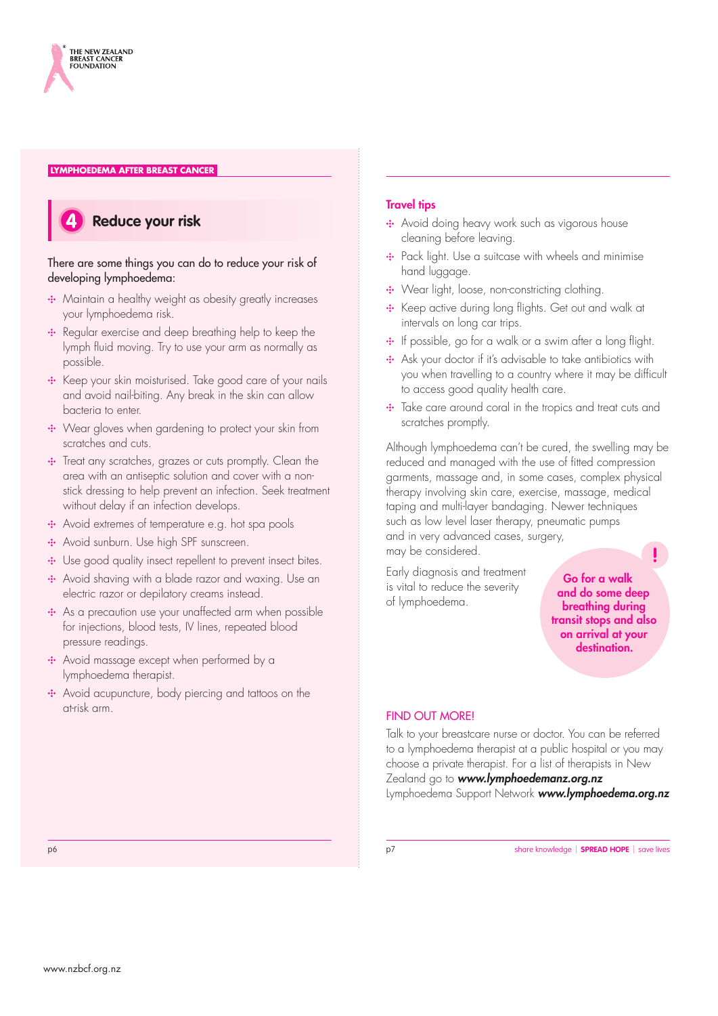



#### There are some things you can do to reduce your risk of developing lymphoedema:

- Maintain a healthy weight as obesity greatly increases your lymphoedema risk.
- •• Regular exercise and deep breathing help to keep the lymph fluid moving. Try to use your arm as normally as possible.
- •• Keep your skin moisturised. Take good care of your nails and avoid nail-biting. Any break in the skin can allow bacteria to enter.
- ••• Wear gloves when gardening to protect your skin from scratches and cuts.
- Treat any scratches, grazes or cuts promptly. Clean the area with an antiseptic solution and cover with a nonstick dressing to help prevent an infection. Seek treatment without delay if an infection develops.
- Avoid extremes of temperature e.g. hot spa pools
- Avoid sunburn. Use high SPF sunscreen.
- Use good quality insect repellent to prevent insect bites.
- Avoid shaving with a blade razor and waxing. Use an electric razor or depilatory creams instead.
- As a precaution use your unaffected arm when possible for injections, blood tests, IV lines, repeated blood pressure readings.
- •• Avoid massage except when performed by a lymphoedema therapist.
- Avoid acupuncture, body piercing and tattoos on the at-risk arm.

#### **Travel tips**

- Avoid doing heavy work such as vigorous house cleaning before leaving.
- Pack light. Use a suitcase with wheels and minimise hand luggage.
- ••• Wear light, loose, non-constricting clothing.
- Keep active during long flights. Get out and walk at intervals on long car trips.
- $\cdot$  If possible, go for a walk or a swim after a long flight.
- •• Ask your doctor if it's advisable to take antibiotics with you when travelling to a country where it may be difficult to access good quality health care.
- Take care around coral in the tropics and treat cuts and scratches promptly.

Although lymphoedema can't be cured, the swelling may be reduced and managed with the use of fitted compression garments, massage and, in some cases, complex physical therapy involving skin care, exercise, massage, medical taping and multi-layer bandaging. Newer techniques such as low level laser therapy, pneumatic pumps and in very advanced cases, surgery, may be considered.

Early diagnosis and treatment is vital to reduce the severity

Go for a walk and do some deep breathing during transit stops and also on arrival at your destination.

#### FIND OUT MORE!

of lymphoedema.

Talk to your breastcare nurse or doctor. You can be referred to a lymphoedema therapist at a public hospital or you may choose a private therapist. For a list of therapists in New Zealand go to *www.lymphoedemanz.org.nz* Lymphoedema Support Network *www.lymphoedema.org.nz*